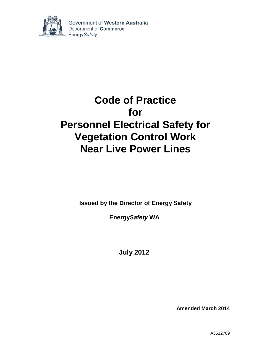

Government of Western Australia Department of Commerce **EnergySafety** 

# **Code of Practice for Personnel Electrical Safety for Vegetation Control Work Near Live Power Lines**

**Issued by the Director of Energy Safety**

**Energy***Safety* **WA**

**July 2012**

**Amended March 2014**

A3512769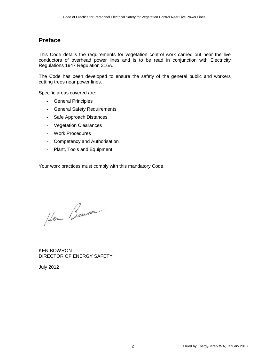### **Preface**

This Code details the requirements for vegetation control work carried out near the live conductors of overhead power lines and is to be read in conjunction with Electricity Regulations 1947 Regulation 316A.

The Code has been developed to ensure the safety of the general public and workers cutting trees near power lines.

Specific areas covered are:

- General Principles
- General Safety Requirements
- Safe Approach Distances
- Vegetation Clearances
- Work Procedures
- Competency and Authorisation
- Plant, Tools and Equipment

Your work practices must comply with this mandatory Code.

Hen Benron

KEN BOWRON DIRECTOR OF ENERGY SAFETY

July 2012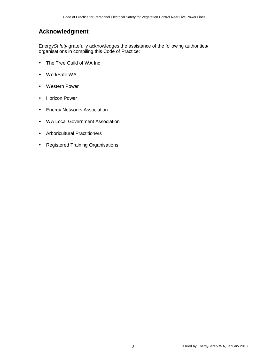### **Acknowledgment**

Energy*Safety* gratefully acknowledges the assistance of the following authorities/ organisations in compiling this Code of Practice:

- The Tree Guild of WA Inc
- WorkSafe WA
- Western Power
- Horizon Power
- Energy Networks Association
- WA Local Government Association
- Arboricultural Practitioners
- Registered Training Organisations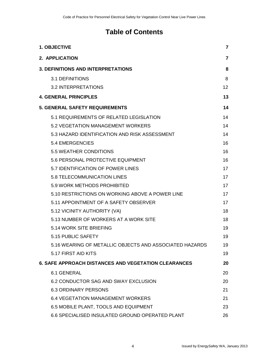# **Table of Contents**

| 1. OBJECTIVE                                                | $\mathbf{7}$ |
|-------------------------------------------------------------|--------------|
| 2. APPLICATION                                              | 7            |
| <b>3. DEFINITIONS AND INTERPRETATIONS</b>                   | 8            |
| <b>3.1 DEFINITIONS</b>                                      | 8            |
| <b>3.2 INTERPRETATIONS</b>                                  | 12           |
| <b>4. GENERAL PRINCIPLES</b>                                | 13           |
| <b>5. GENERAL SAFETY REQUIREMENTS</b>                       | 14           |
| 5.1 REQUIREMENTS OF RELATED LEGISLATION                     | 14           |
| 5.2 VEGETATION MANAGEMENT WORKERS                           | 14           |
| 5.3 HAZARD IDENTIFICATION AND RISK ASSESSMENT               | 14           |
| <b>5.4 EMERGENCIES</b>                                      | 16           |
| <b>5.5 WEATHER CONDITIONS</b>                               | 16           |
| 5.6 PERSONAL PROTECTIVE EQUIPMENT                           | 16           |
| 5.7 IDENTIFICATION OF POWER LINES                           | 17           |
| 5.8 TELECOMMUNICATION LINES                                 | 17           |
| 5.9 WORK METHODS PROHIBITED                                 | 17           |
| 5.10 RESTRICTIONS ON WORKING ABOVE A POWER LINE             | 17           |
| 5.11 APPOINTMENT OF A SAFETY OBSERVER                       | 17           |
| 5.12 VICINITY AUTHORITY (VA)                                | 18           |
| 5.13 NUMBER OF WORKERS AT A WORK SITE                       | 18           |
| 5.14 WORK SITE BRIEFING                                     | 19           |
| 5.15 PUBLIC SAFETY                                          | 19           |
| 5.16 WEARING OF METALLIC OBJECTS AND ASSOCIATED HAZARDS     | 19           |
| 5.17 FIRST AID KITS                                         | 19           |
| <b>6. SAFE APPROACH DISTANCES AND VEGETATION CLEARANCES</b> | 20           |
| <b>6.1 GENERAL</b>                                          | 20           |
| 6.2 CONDUCTOR SAG AND SWAY EXCLUSION                        | 20           |
| <b>6.3 ORDINARY PERSONS</b>                                 | 21           |
| <b>6.4 VEGETATION MANAGEMENT WORKERS</b>                    | 21           |
| 6.5 MOBILE PLANT, TOOLS AND EQUIPMENT                       | 23           |
| 6.6 SPECIALISED INSULATED GROUND OPERATED PLANT             | 26           |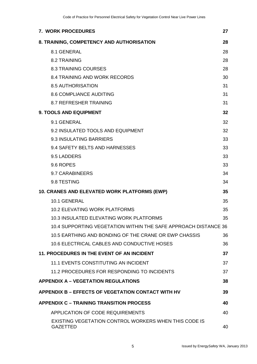| 7. WORK PROCEDURES                                                              | 27 |
|---------------------------------------------------------------------------------|----|
| 8. TRAINING, COMPETENCY AND AUTHORISATION                                       | 28 |
| 8.1 GENERAL                                                                     | 28 |
| 8.2 TRAINING                                                                    | 28 |
| <b>8.3 TRAINING COURSES</b>                                                     | 28 |
| <b>8.4 TRAINING AND WORK RECORDS</b>                                            | 30 |
| <b>8.5 AUTHORISATION</b>                                                        | 31 |
| <b>8.6 COMPLIANCE AUDITING</b>                                                  | 31 |
| <b>8.7 REFRESHER TRAINING</b>                                                   | 31 |
| <b>9. TOOLS AND EQUIPMENT</b>                                                   | 32 |
| 9.1 GENERAL                                                                     | 32 |
| 9.2 INSULATED TOOLS AND EQUIPMENT                                               | 32 |
| 9.3 INSULATING BARRIERS                                                         | 33 |
| 9.4 SAFETY BELTS AND HARNESSES                                                  | 33 |
| 9.5 LADDERS                                                                     | 33 |
| 9.6 ROPES                                                                       | 33 |
| 9.7 CARABINEERS                                                                 | 34 |
| 9.8 TESTING                                                                     | 34 |
| 10. CRANES AND ELEVATED WORK PLATFORMS (EWP)                                    | 35 |
| 10.1 GENERAL                                                                    | 35 |
| <b>10.2 ELEVATING WORK PLATFORMS</b>                                            | 35 |
| 10.3 INSULATED ELEVATING WORK PLATFORMS                                         | 35 |
| 10.4 SUPPORTING VEGETATION WITHIN THE SAFE APPROACH DISTANCE 36                 |    |
| 10.5 EARTHING AND BONDING OF THE CRANE OR EWP CHASSIS                           | 36 |
| 10.6 ELECTRICAL CABLES AND CONDUCTIVE HOSES                                     | 36 |
| <b>11. PROCEDURES IN THE EVENT OF AN INCIDENT</b>                               | 37 |
| <b>11.1 EVENTS CONSTITUTING AN INCIDENT</b>                                     | 37 |
| 11.2 PROCEDURES FOR RESPONDING TO INCIDENTS                                     | 37 |
| <b>APPENDIX A - VEGETATION REGULATIONS</b>                                      | 38 |
| <b>APPENDIX B - EFFECTS OF VEGETATION CONTACT WITH HV</b>                       | 39 |
| <b>APPENDIX C - TRAINING TRANSITION PROCESS</b>                                 | 40 |
| <b>APPLICATION OF CODE REQUIREMENTS</b>                                         | 40 |
| <b>EXISTING VEGETATION CONTROL WORKERS WHEN THIS CODE IS</b><br><b>GAZETTED</b> | 40 |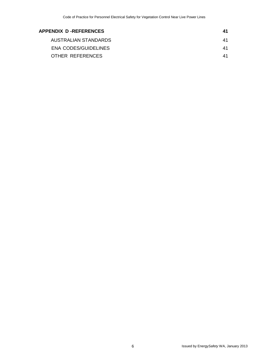| APPENDIX D-REFERENCES | 41 |
|-----------------------|----|
| AUSTRALIAN STANDARDS  | 41 |
| ENA CODES/GUIDELINES  | 41 |
| OTHER REFERENCES      | 41 |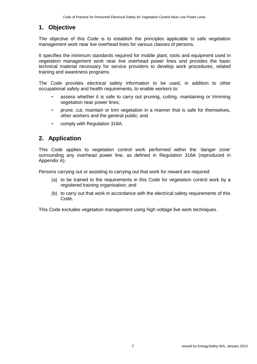### **1. Objective**

The objective of this Code is to establish the principles applicable to safe vegetation management work near live overhead lines for various classes of persons.

It specifies the minimum standards required for mobile plant, tools and equipment used in vegetation management work near live overhead power lines and provides the basic technical material necessary for service providers to develop work procedures, related training and awareness programs.

The Code provides electrical safety information to be used, in addition to other occupational safety and health requirements, to enable workers to:

- assess whether it is safe to carry out pruning, cutting, maintaining or trimming vegetation near power lines;
- prune, cut, maintain or trim vegetation in a manner that is safe for themselves, other workers and the general public; and
- comply with Regulation 316A.

### **2. Application**

This Code applies to vegetation control work performed within the 'danger zone' surrounding any overhead power line, as defined in Regulation 316A (reproduced in Appendix A).

Persons carrying out or assisting to carrying out that work for reward are required:

- (a) to be trained to the requirements in this Code for vegetation control work by a registered training organisation; and
- (b) to carry out that work in accordance with the electrical safety requirements of this Code.

This Code excludes vegetation management using high voltage live work techniques.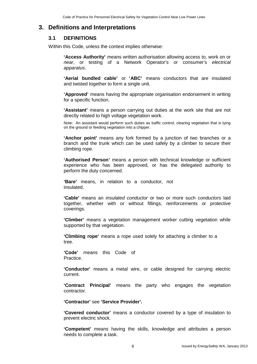### **3. Definitions and Interpretations**

### **3.1 DEFINITIONS**

Within this Code, unless the context implies otherwise:

**'Access Authority'** means written authorisation allowing access to, work on or *near*, or testing of a Network Operator's or consumer's *electrical apparatus*.

**'Aerial bundled cable'** or **'ABC'** means conductors that are insulated and twisted together to form a single unit.

**'Approved'** means having the appropriate organisation endorsement in writing for a specific function.

**'Assistant'** means a person carrying out duties at the work site that are not directly related to high voltage vegetation work.

Note: An assistant would perform such duties as traffic control, clearing vegetation that is lying on the ground or feeding vegetation into a chipper.

**'Anchor point'** means any fork formed by a junction of two branches or a branch and the trunk which can be used safely by a climber to secure their climbing rope.

**'Authorised Person***'* means a person with technical knowledge or sufficient experience who has been approved, or has the delegated authority to perform the duty concerned.

**'Bare'** means, in relation to a conductor, not insulated.

**'Cable'** means an *insulated conductor* or two or more such *conductors* laid together, whether with or without fillings, reinforcements or protective coverings.

**'Climber'** means a vegetation management worker cutting vegetation while supported by that vegetation.

**'Climbing rope'** means a rope used solely for attaching a climber to a tree.

**'Code'** means this Code of Practice.

**'Conductor'** means a metal wire, or cable designed for carrying electric current.

**'Contract Principal'** means the party who engages the vegetation contractor.

**'Contractor'** see **'Service Provider'.**

**'Covered conductor'** means a conductor covered by a type of insulation to prevent electric shock.

**'Competent'** means having the skills, knowledge and attributes a person needs to complete a task.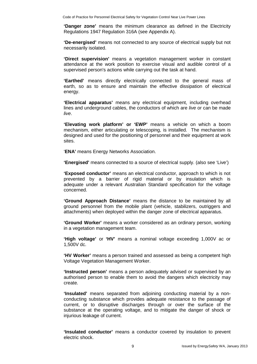**'Danger zone'** means the minimum clearance as defined in the Electricity Regulations 1947 Regulation 316A (see Appendix A).

**'De-energised'** means not connected to any source of electrical supply but not necessarily isolated.

**'Direct supervision'** means a vegetation management worker in constant attendance at the work position to exercise visual and audible control of a supervised person's actions while carrying out the task at hand.

**'Earthed'** means directly electrically connected to the general mass of earth, so as to ensure and maintain the effective dissipation of electrical energy.

**'Electrical apparatus'** means any electrical equipment, including overhead lines and underground cables, the conductors of which are *live* or can be made *live*.

**'Elevating work platform' or 'EWP'** means a vehicle on which a boom mechanism, either articulating or telescoping, is installed. The mechanism is designed and used for the positioning of personnel and their equipment at work sites.

'**ENA'** means Energy Networks Association.

**'Energised'** means connected to a source of electrical supply. (also see 'Live')

**'Exposed conductor'** means an electrical conductor, approach to which is not prevented by a barrier of rigid material or by insulation which is adequate under a relevant Australian Standard specification for the voltage concerned.

**'Ground Approach Distance'** means the distance to be maintained by all ground personnel from the mobile plant (vehicle, stabilizers, outriggers and attachments) when deployed within the danger zone of electrical apparatus.

**'Ground Worker'** means a worker considered as an ordinary person, working in a vegetation management team.

**'High voltage'** or **'HV'** means a nominal voltage exceeding 1,000V ac or 1,500V dc.

**'HV Worker'** means a person trained and assessed as being a competent high Voltage Vegetation Management Worker.

**'Instructed person'** means a person adequately advised or supervised by an authorised person to enable them to avoid the dangers which electricity may create.

**'Insulated'** means separated from adjoining conducting material by a nonconducting substance which provides adequate resistance to the passage of current, or to disruptive discharges through or over the surface of the substance at the operating voltage, and to mitigate the danger of shock or injurious leakage of current.

**'Insulated conductor'** means a conductor covered by insulation to prevent electric shock.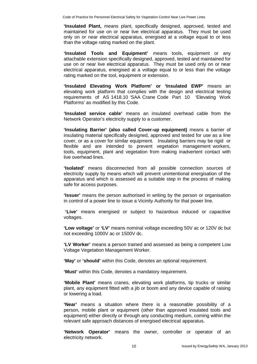**'Insulated Plant,** means plant, specifically designed, approved, tested and maintained for use on or near live electrical apparatus. They must be used only on or near electrical apparatus, energised at a voltage equal to or less than the voltage rating marked on the plant.

**'Insulated Tools and Equipment'** means tools, equipment or any attachable extension specifically designed, approved, tested and maintained for use on or near live electrical apparatus. They must be used only on or near electrical apparatus, energised at a voltage equal to or less than the voltage rating marked on the tool, equipment or extension.

**'Insulated Elevating Work Platform' or 'Insulated EWP'** means an elevating work platform that complies with the design and electrical testing requirements of AS 1418.10 'SAA Crane Code Part 10 'Elevating Work Platforms' as modified by this Code.

**'Insulated service cable'** means an insulated overhead cable from the Network Operator's electricity supply to a customer.

**'Insulating Barrier' (also called Cover-up equipment)** means a barrier of insulating material specifically designed, approved and tested for use as a line cover, or as a cover for similar equipment. Insulating barriers may be rigid or flexible and are intended to prevent vegetation management workers, tools, equipment, plant and vegetation from making inadvertent contact with live overhead lines.

**'Isolated'** means disconnected from all possible connection sources of electricity supply by means which will prevent unintentional energisation of the apparatus and which is assessed as a suitable step in the process of making safe for access purposes.

**'Issuer'** means the person authorised in writing by the person or organisation in control of a power line to issue a Vicinity Authority for that power line.

**'Live'** means energised or subject to hazardous induced or capacitive voltages.

**'Low voltage'** or **'LV'** means nominal voltage exceeding 50V ac or 120V dc but not exceeding 1000V ac or 1500V dc.

**'LV Worker'** means a person trained and assessed as being a competent Low Voltage Vegetation Management Worker.

**'May'** or **'should'** within this Code, denotes an optional requirement.

**'Must'** within this Code, denotes a mandatory requirement.

**'Mobile Plant'** means cranes, elevating work platforms, tip trucks or similar plant, any equipment fitted with a jib or boom and any device capable of raising or lowering a load.

**'Near'** means a situation where there is a reasonable possibility of a person, mobile plant or equipment (other than approved insulated tools and equipment) either directly or through any conducting medium, coming within the relevant safe approach distances of energised electrical apparatus.

**'Network Operator'** means the owner, controller or operator of an electricity network.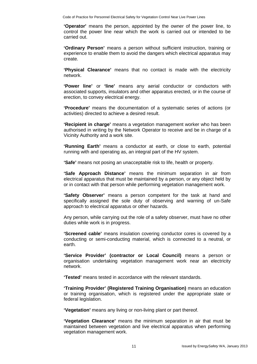**'Operator'** means the person, appointed by the owner of the power line, to control the power line near which the work is carried out or intended to be carried out.

**'Ordinary Person'** means a person without sufficient instruction, training or experience to enable them to avoid the dangers which electrical apparatus may create.

**'Physical Clearance'** means that no contact is made with the electricity network.

**'Power line'** or **'line'** means any aerial conductor or conductors with associated supports, insulators and other apparatus erected, or in the course of erection, to convey electrical energy.

**'Procedure'** means the documentation of a systematic series of actions (or activities) directed to achieve a desired result.

**'Recipient in charge'** means a vegetation management worker who has been authorised in writing by the Network Operator to receive and be in charge of a Vicinity Authority and a work site.

**'Running Earth'** means a conductor at earth, or close to earth, potential running with and operating as, an integral part of the HV system.

**'Safe'** means not posing an unacceptable risk to life, health or property.

**'Safe Approach Distance'** means the minimum separation in air from electrical apparatus that must be maintained by a person, or any object held by or in contact with that person while performing vegetation management work.

**'Safety Observer'** means a person competent for the task at hand and specifically assigned the sole duty of observing and warning of un-Safe approach to electrical apparatus or other hazards.

Any person, while carrying out the role of a safety observer, must have no other duties while work is in progress.

**'Screened cable'** means insulation covering conductor cores is covered by a conducting or semi-conducting material, which is connected to a neutral, or earth.

**'Service Provider' (contractor or Local Council)** means a person or organisation undertaking vegetation management work near an electricity network.

**'Tested'** means tested in accordance with the relevant standards.

**'Training Provider' (Registered Training Organisation)** means an education or training organisation, which is registered under the appropriate state or federal legislation.

**'Vegetation'** means any living or non-living plant or part thereof.

**'Vegetation Clearance'** means the minimum separation in air that must be maintained between vegetation and live electrical apparatus when performing vegetation management work.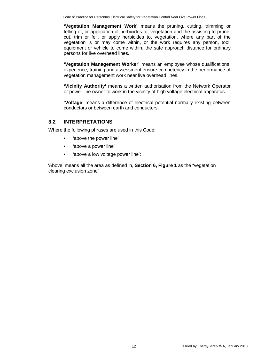**'Vegetation Management Work'** means the pruning, cutting, trimming or felling of, or application of herbicides to, vegetation and the assisting to prune, cut, trim or fell, or apply herbicides to, vegetation, where any part of the vegetation is or may come within, or the work requires any person, tool, equipment or vehicle to come within, the safe approach distance for ordinary persons for live overhead lines.

**'Vegetation Management Worker'** means an employee whose qualifications, experience, training and assessment ensure competency in the performance of vegetation management work near live overhead lines.

**'Vicinity Authority'** means a written authorisation from the Network Operator or power line owner to work in the vicinity of high voltage electrical apparatus.

**'Voltage'** means a difference of electrical potential normally existing between conductors or between earth and conductors.

### **3.2 INTERPRETATIONS**

Where the following phrases are used in this Code:

- 'above the power line'
- 'above a power line'
- 'above a low voltage power line':

'Above' means all the area as defined in, **Section 6, Figure 1** as the "vegetation clearing exclusion zone"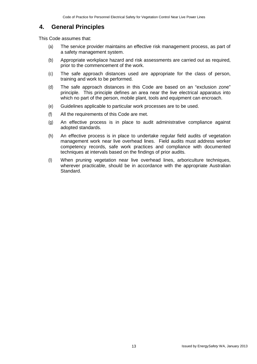### **4. General Principles**

This Code assumes that:

- (a) The service provider maintains an effective risk management process, as part of a safety management system.
- (b) Appropriate workplace hazard and risk assessments are carried out as required, prior to the commencement of the work.
- (c) The safe approach distances used are appropriate for the class of person, training and work to be performed.
- (d) The safe approach distances in this Code are based on an "exclusion zone" principle. This principle defines an area near the live electrical apparatus into which no part of the person, mobile plant, tools and equipment can encroach.
- (e) Guidelines applicable to particular work processes are to be used.
- (f) All the requirements of this Code are met.
- (g) An effective process is in place to audit administrative compliance against adopted standards.
- (h) An effective process is in place to undertake regular field audits of vegetation management work near live overhead lines. Field audits must address worker competency records, safe work practices and compliance with documented techniques at intervals based on the findings of prior audits.
- (I) When pruning vegetation near live overhead lines, arboriculture techniques, wherever practicable, should be in accordance with the appropriate Australian Standard.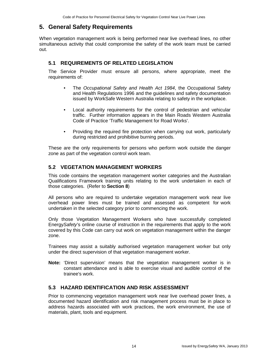### **5. General Safety Requirements**

When vegetation management work is being performed near live overhead lines, no other simultaneous activity that could compromise the safety of the work team must be carried out.

### **5.1 REQUIREMENTS OF RELATED LEGISLATION**

The Service Provider must ensure all persons, where appropriate, meet the requirements of:

- The *Occupational Safety and Health Act 1984*, the Occupational Safety and Health Regulations 1996 and the guidelines and safety documentation issued by WorkSafe Western Australia relating to safety in the workplace.
- Local authority requirements for the control of pedestrian and vehicular traffic. Further information appears in the Main Roads Western Australia Code of Practice 'Traffic Management for Road Works'.
- Providing the required fire protection when carrying out work, particularly during restricted and prohibitive burning periods.

These are the only requirements for persons who perform work outside the danger zone as part of the vegetation control work team.

### **5.2 VEGETATION MANAGEMENT WORKERS**

This code contains the vegetation management worker categories and the Australian Qualifications Framework training units relating to the work undertaken in each of those categories. (Refer to **Section 8**)

All persons who are required to undertake vegetation management work near live overhead power lines must be trained and assessed as competent for work undertaken in the selected category prior to commencing the work.

Only those Vegetation Management Workers who have successfully completed Energy*Safety*'s online course of instruction in the requirements that apply to the work covered by this Code can carry out work on vegetation management within the danger zone.

Trainees may assist a suitably authorised vegetation management worker but only under the direct supervision of that vegetation management worker.

**Note:** 'Direct supervision' means that the vegetation management worker is in constant attendance and is able to exercise visual and audible control of the trainee's work.

### **5.3 HAZARD IDENTIFICATION AND RISK ASSESSMENT**

Prior to commencing vegetation management work near live overhead power lines, a documented hazard identification and risk management process must be in place to address hazards associated with work practices, the work environment, the use of materials, plant, tools and equipment.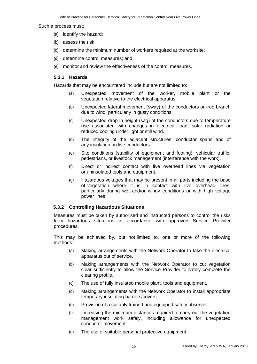#### Such a process must:

- (a) identify the hazard;
- (b) assess the risk;
- (c) determine the minimum number of workers required at the worksite;
- (d) determine control measures; and
- (e) monitor and review the effectiveness of the control measures.

#### **5.3.1 Hazards**

Hazards that may be encountered include but are not limited to:

- Unexpected movement of the worker, mobile plant or the vegetation relative to the electrical apparatus.
- (b) Unexpected lateral movement (sway) of the conductors or tree branch due to wind, particularly in gusty conditions.
- (c) Unexpected drop in height (sag) of the conductors due to temperature rise associated with changes in electrical load, solar radiation or reduced cooling under light or still wind.
- (d) The integrity of the adjacent structures, conductor spans and of any insulation on live conductors.
- (e) Site conditions (stability of equipment and footing), vehicular traffic, pedestrians, or livestock management (interference with the work).
- (f) Direct or indirect contact with live overhead lines via vegetation or uninsulated tools and equipment.
- (g) Hazardous voltages that may be present in all parts including the base of vegetation where it is in contact with live overhead lines, particularly during wet and/or windy conditions or with high voltage power lines.

#### **5.3.2 Controlling Hazardous Situations**

Measures must be taken by authorised and instructed persons to control the risks from hazardous situations in accordance with approved Service Provider procedures.

This may be achieved by, but not limited to, one or more of the following methods:

- (a) Making arrangements with the Network Operator to take the electrical apparatus out of service.
- (b) Making arrangements with the Network Operator to cut vegetation clear sufficiently to allow the Service Provider to safely complete the clearing profile.
- (c) The use of fully insulated mobile plant, tools and equipment.
- (d) Making arrangements with the Network Operator to install appropriate temporary insulating barriers/covers.
- (e) Provision of a suitably trained and equipped safety observer.
- (f) Increasing the minimum distances required to carry out the vegetation management work safely, including allowance for unexpected conductor movement.
- (g) The use of suitable personal protective equipment.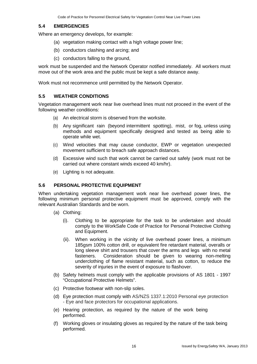#### **5.4 EMERGENCIES**

Where an emergency develops, for example:

- (a) vegetation making contact with a high voltage power line;
- (b) conductors clashing and arcing; and
- (c) conductors falling to the ground,

work must be suspended and the Network Operator notified immediately. All workers must move out of the work area and the public must be kept a safe distance away.

Work must not recommence until permitted by the Network Operator.

### **5.5 WEATHER CONDITIONS**

Vegetation management work near live overhead lines must not proceed in the event of the following weather conditions:

- (a) An electrical storm is observed from the worksite.
- (b) Any significant rain (beyond intermittent spotting), mist, or fog, unless using methods and equipment specifically designed and tested as being able to operate while wet.
- (c) Wind velocities that may cause conductor, EWP or vegetation unexpected movement sufficient to breach safe approach distances.
- (d) Excessive wind such that work cannot be carried out safely (work must not be carried out where constant winds exceed 40 km/hr).
- (e) Lighting is not adequate.

#### **5.6 PERSONAL PROTECTIVE EQUIPMENT**

When undertaking vegetation management work near live overhead power lines, the following minimum personal protective equipment must be approved, comply with the relevant Australian Standards and be worn.

- (a) Clothing:
	- (i). Clothing to be appropriate for the task to be undertaken and should comply to the WorkSafe Code of Practice for Personal Protective Clothing and Equipment.
	- (ii). When working in the vicinity of live overhead power lines, a minimum 185gsm 100% cotton drill, or equivalent fire retardant material, overalls or long sleeve shirt and trousers that cover the arms and legs with no metal fasteners. Consideration should be given to wearing non-melting Consideration should be given to wearing non-melting underclothing of flame resistant material, such as cotton, to reduce the severity of injuries in the event of exposure to flashover.
- (b) Safety helmets must comply with the applicable provisions of AS 1801 1997 "Occupational Protective Helmets".
- (c) Protective footwear with non-slip soles.
- (d) Eye protection must comply with AS/NZS 1337.1:2010 Personal eye protection - Eye and face protectors for occupational applications.
- (e) Hearing protection, as required by the nature of the work being performed.
- (f) Working gloves or insulating gloves as required by the nature of the task being performed.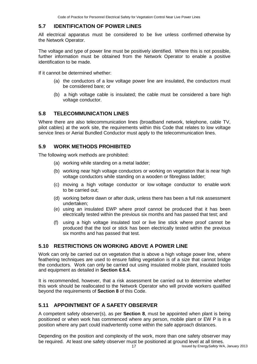### **5.7 IDENTIFICATION OF POWER LINES**

All electrical apparatus must be considered to be live unless confirmed otherwise by the Network Operator.

The voltage and type of power line must be positively identified. Where this is not possible, further information must be obtained from the Network Operator to enable a positive identification to be made.

If it cannot be determined whether:

- (a) the conductors of a low voltage power line are insulated, the conductors must be considered bare; or
- (b) a high voltage cable is insulated; the cable must be considered a bare high voltage conductor.

### **5.8 TELECOMMUNICATION LINES**

Where there are also telecommunication lines (broadband network, telephone, cable TV, pilot cables) at the work site, the requirements within this Code that relates to low voltage service lines or Aerial Bundled Conductor must apply to the telecommunication lines.

### **5.9 WORK METHODS PROHIBITED**

The following work methods are prohibited:

- (a) working while standing on a metal ladder;
- (b) working near high voltage conductors or working on vegetation that is near high voltage conductors while standing on a wooden or fibreglass ladder;
- (c) moving a high voltage conductor or low voltage conductor to enable work to be carried out;
- (d) working before dawn or after dusk, unless there has been a full risk assessment undertaken;
- (e) using an insulated EWP where proof cannot be produced that it has been electrically tested within the previous six months and has passed that test; and
- (f) using a high voltage insulated tool or live line stick where proof cannot be produced that the tool or stick has been electrically tested within the previous six months and has passed that test.

### **5.10 RESTRICTIONS ON WORKING ABOVE A POWER LINE**

Work can only be carried out on vegetation that is above a high voltage power line, where feathering techniques are used to ensure falling vegetation is of a size that cannot bridge the conductors. Work can only be carried out using insulated mobile plant, insulated tools and equipment as detailed in **Section 6.5.4.**

It is recommended, however, that a risk assessment be carried out to determine whether this work should be reallocated to the Network Operator who will provide workers qualified beyond the requirements of **Section 8** of this Code.

### **5.11 APPOINTMENT OF A SAFETY OBSERVER**

A competent safety observer(s), as per **Section 8**, must be appointed when plant is being positioned or when work has commenced where any person, mobile plant or EW P is in a position where any part could inadvertently come within the safe approach distances.

17 **Issued by Energy Safety WA, January 2013** Depending on the position and complexity of the work, more than one safety observer may be required. At least one safety observer must be positioned at ground level at all times.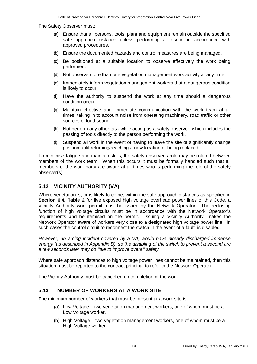The Safety Observer must:

- (a) Ensure that all persons, tools, plant and equipment remain outside the specified safe approach distance unless performing a rescue in accordance with approved procedures.
- (b) Ensure the documented hazards and control measures are being managed.
- (c) Be positioned at a suitable location to observe effectively the work being performed.
- (d) Not observe more than one vegetation management work activity at any time.
- (e) Immediately inform vegetation management workers that a dangerous condition is likely to occur.
- (f) Have the authority to suspend the work at any time should a dangerous condition occur.
- (g) Maintain effective and immediate communication with the work team at all times, taking in to account noise from operating machinery, road traffic or other sources of loud sound.
- (h) Not perform any other task while acting as a safety observer, which includes the passing of tools directly to the person performing the work.
- (i) Suspend all work in the event of having to leave the site or significantly change position until returning/reaching a new location or being replaced.

To minimise fatigue and maintain skills, the safety observer's role may be rotated between members of the work team. When this occurs it must be formally handled such that all members of the work party are aware at all times who is performing the role of the safety observer(s).

### **5.12 VICINITY AUTHORITY (VA)**

Where vegetation is, or is likely to come, within the safe approach distances as specified in **Section 6.4, Table 2** for live exposed high voltage overhead power lines of this Code, a Vicinity Authority work permit must be issued by the Network Operator. The reclosing function of high voltage circuits must be in accordance with the Network Operator's requirements and be itemised on the permit. Issuing a Vicinity Authority, makes the Network Operator aware of workers very close to a designated high voltage power line. In such cases the control circuit to reconnect the switch in the event of a fault, is disabled.

*However, an arcing incident covered by a VA, would have already discharged immense energy (as described in Appendix B), so the disabling of the switch to prevent a second arc a few seconds later may do little to improve overall safety.*

Where safe approach distances to high voltage power lines cannot be maintained, then this situation must be reported to the contract principal to refer to the Network Operator.

The Vicinity Authority must be cancelled on completion of the work.

### **5.13 NUMBER OF WORKERS AT A WORK SITE**

The minimum number of workers that must be present at a work site is:

- (a) Low Voltage two vegetation management workers, one of whom must be a Low Voltage worker.
- (b) High Voltage two vegetation management workers, one of whom must be a High Voltage worker.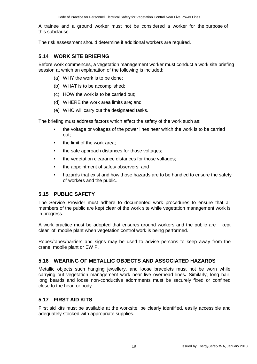A trainee and a ground worker must not be considered a worker for the purpose of this subclause.

The risk assessment should determine if additional workers are required.

### **5.14 WORK SITE BRIEFING**

Before work commences, a vegetation management worker must conduct a work site briefing session at which an explanation of the following is included:

- (a) WHY the work is to be done;
- (b) WHAT is to be accomplished;
- (c) HOW the work is to be carried out;
- (d) WHERE the work area limits are; and
- (e) WHO will carry out the designated tasks.

The briefing must address factors which affect the safety of the work such as:

- the voltage or voltages of the power lines near which the work is to be carried out;
- the limit of the work area;
- the safe approach distances for those voltages;
- the vegetation clearance distances for those voltages;
- the appointment of safety observers; and
- hazards that exist and how those hazards are to be handled to ensure the safety of workers and the public.

### **5.15 PUBLIC SAFETY**

The Service Provider must adhere to documented work procedures to ensure that all members of the public are kept clear of the work site while vegetation management work is in progress.

A work practice must be adopted that ensures ground workers and the public are kept clear of mobile plant when vegetation control work is being performed.

Ropes/tapes/barriers and signs may be used to advise persons to keep away from the crane, mobile plant or EW P.

### **5.16 WEARING OF METALLIC OBJECTS AND ASSOCIATED HAZARDS**

Metallic objects such hanging jewellery, and loose bracelets must not be worn while carrying out vegetation management work near live overhead lines**.** Similarly, long hair, long beards and loose non-conductive adornments must be securely fixed or confined close to the head or body.

#### **5.17 FIRST AID KITS**

First aid kits must be available at the worksite, be clearly identified, easily accessible and adequately stocked with appropriate supplies.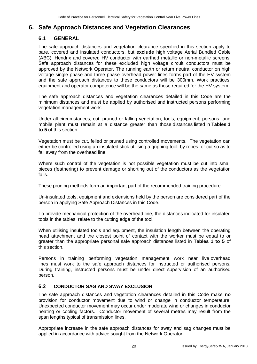### **6. Safe Approach Distances and Vegetation Clearances**

### **6.1 GENERAL**

The safe approach distances and vegetation clearance specified in this section apply to bare, covered and insulated conductors, but **exclude** high voltage Aerial Bundled Cable (ABC), Hendrix and covered HV conductor with earthed metallic or non-metallic screens. Safe approach distances for these excluded high voltage circuit conductors must be approved by the Network Operator. The running earth or return neutral conductor on high voltage single phase and three phase overhead power lines forms part of the HV system and the safe approach distances to these conductors will be 300mm. Work practices, equipment and operator competence will be the same as those required for the HV system.

The safe approach distances and vegetation clearances detailed in this Code are the minimum distances and must be applied by authorised and instructed persons performing vegetation management work.

Under all circumstances, cut, pruned or falling vegetation, tools, equipment, persons and mobile plant must remain at a distance greater than those distances listed in **Tables 1 to 5** of this section.

Vegetation must be cut, felled or pruned using controlled movements. The vegetation can either be controlled using an insulated stick utilising a gripping tool, by ropes, or cut so as to fall away from the overhead line.

Where such control of the vegetation is not possible vegetation must be cut into small pieces (feathering) to prevent damage or shorting out of the conductors as the vegetation falls.

These pruning methods form an important part of the recommended training procedure.

Un-insulated tools, equipment and extensions held by the person are considered part of the person in applying Safe Approach Distances in this Code.

To provide mechanical protection of the overhead line, the distances indicated for insulated tools in the tables, relate to the cutting edge of the tool.

When utilising insulated tools and equipment, the insulation length between the operating head attachment and the closest point of contact with the worker must be equal to or greater than the appropriate personal safe approach distances listed in **Tables 1 to 5** of this section.

Persons in training performing vegetation management work near live overhead lines must work to the safe approach distances for instructed or authorised persons. During training, instructed persons must be under direct supervision of an authorised person.

### **6.2 CONDUCTOR SAG AND SWAY EXCLUSION**

The safe approach distances and vegetation clearances detailed in this Code make **no**  provision for conductor movement due to wind or change in conductor temperature. Unexpected conductor movement may occur under moderate wind or changes in conductor heating or cooling factors. Conductor movement of several metres may result from the span lengths typical of transmission lines.

Appropriate increase in the safe approach distances for sway and sag changes must be applied in accordance with advice sought from the Network Operator.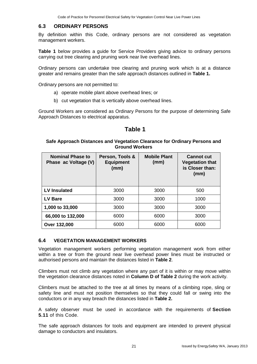### **6.3 ORDINARY PERSONS**

By definition within this Code, ordinary persons are not considered as vegetation management workers.

**Table 1** below provides a guide for Service Providers giving advice to ordinary persons carrying out tree clearing and pruning work near live overhead lines.

Ordinary persons can undertake tree clearing and pruning work which is at a distance greater and remains greater than the safe approach distances outlined in **Table 1.**

Ordinary persons are not permitted to:

- a) operate mobile plant above overhead lines; or
- b) cut vegetation that is vertically above overhead lines.

Ground Workers are considered as Ordinary Persons for the purpose of determining Safe Approach Distances to electrical apparatus.

### **Table 1**

#### **Safe Approach Distances and Vegetation Clearance for Ordinary Persons and Ground Workers**

| <b>Nominal Phase to</b><br>Phase ac Voltage (V) | Person, Tools &<br><b>Equipment</b><br>(mm) | <b>Mobile Plant</b><br>(mm) | <b>Cannot cut</b><br><b>Vegetation that</b><br>is Closer than:<br>(mm) |
|-------------------------------------------------|---------------------------------------------|-----------------------------|------------------------------------------------------------------------|
| LV Insulated                                    | 3000                                        | 3000                        | 500                                                                    |
| <b>LV Bare</b>                                  | 3000                                        | 3000                        | 1000                                                                   |
| 1,000 to 33,000                                 | 3000                                        | 3000                        | 3000                                                                   |
| 66,000 to 132,000                               | 6000                                        | 6000                        | 3000                                                                   |
| <b>Over 132,000</b>                             | 6000                                        | 6000                        | 6000                                                                   |

#### **6.4 VEGETATION MANAGEMENT WORKERS**

Vegetation management workers performing vegetation management work from either within a tree or from the ground near live overhead power lines must be instructed or authorised persons and maintain the distances listed in **Table 2**.

Climbers must not climb any vegetation where any part of it is within or may move within the vegetation clearance distances noted in **Column D of Table 2** during the work activity.

Climbers must be attached to the tree at all times by means of a climbing rope, sling or safety line and must not position themselves so that they could fall or swing into the conductors or in any way breach the distances listed in **Table 2.**

A safety observer must be used in accordance with the requirements of **Section 5.11** of this Code.

The safe approach distances for tools and equipment are intended to prevent physical damage to conductors and insulators.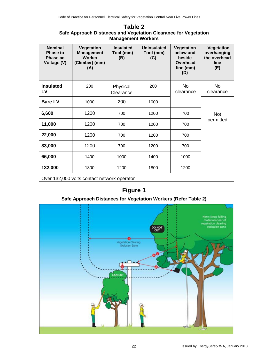### **Table 2**

### **Safe Approach Distances and Vegetation Clearance for Vegetation Management Workers**

| <b>Nominal</b><br><b>Phase to</b><br>Phase ac<br>Voltage (V) | Vegetation<br><b>Management</b><br><b>Worker</b><br>(Climber) (mm)<br>(A) | <b>Insulated</b><br>Tool (mm)<br>(B) | Uninsulated<br>Tool (mm)<br>(C) | Vegetation<br>below and<br>beside<br>Overhead<br>line (mm)<br>(D) | Vegetation<br>overhanging<br>the overhead<br>line<br>(E) |
|--------------------------------------------------------------|---------------------------------------------------------------------------|--------------------------------------|---------------------------------|-------------------------------------------------------------------|----------------------------------------------------------|
| <b>Insulated</b><br>LV                                       | 200                                                                       | Physical<br>Clearance                | 200                             | <b>No</b><br>clearance                                            | <b>No</b><br>clearance                                   |
| <b>Bare LV</b>                                               | 1000                                                                      | 200                                  | 1000                            |                                                                   |                                                          |
| 6,600                                                        | 1200                                                                      | 700                                  | 1200                            | 700                                                               | <b>Not</b>                                               |
| 11,000                                                       | 1200                                                                      | 700                                  | 1200                            | 700                                                               | permitted                                                |
| 22,000                                                       | 1200                                                                      | 700                                  | 1200                            | 700                                                               |                                                          |
| 33,000                                                       | 1200                                                                      | 700                                  | 1200                            | 700                                                               |                                                          |
| 66,000                                                       | 1400                                                                      | 1000                                 | 1400                            | 1000                                                              |                                                          |
| 132,000                                                      | 1800                                                                      | 1200                                 | 1800                            | 1200                                                              |                                                          |
| Over 132,000 volts contact network operator                  |                                                                           |                                      |                                 |                                                                   |                                                          |

# **Figure 1**

### **Safe Approach Distances for Vegetation Workers (Refer Table 2)**

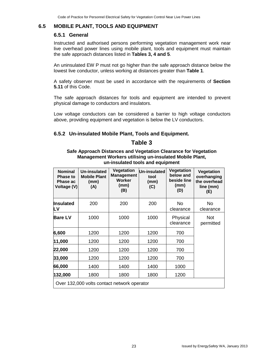### **6.5 MOBILE PLANT, TOOLS AND EQUIPMENT**

### **6.5.1 General**

Instructed and authorised persons performing vegetation management work near live overhead power lines using mobile plant, tools and equipment must maintain the safe approach distances listed in **Tables 3, 4 and 5**.

An uninsulated EW P must not go higher than the safe approach distance below the lowest live conductor, unless working at distances greater than **Table 1**.

A safety observer must be used in accordance with the requirements of **Section 5.11** of this Code.

The safe approach distances for tools and equipment are intended to prevent physical damage to conductors and insulators.

Low voltage conductors can be considered a barrier to high voltage conductors above, providing equipment and vegetation is below the LV conductors.

### **6.5.2 Un-insulated Mobile Plant, Tools and Equipment.**

### **Table 3**

#### **Safe Approach Distances and Vegetation Clearance for Vegetation Management Workers utilising un-insulated Mobile Plant, un-insulated tools and equipment**

| <b>Nominal</b><br><b>Phase to</b><br>Phase ac<br>Voltage (V) | <b>Un-insulated</b><br><b>Mobile Plant</b><br>(mm)<br>(A) | Vegetation<br><b>Management</b><br><b>Worker</b><br>(mm)<br>(B) | Un-insulated<br>tool<br>(mm)<br>(C) | Vegetation<br>below and<br>beside line<br>(mm)<br>(D) | Vegetation<br>overhanging<br>the overhead<br>line (mm)<br>(E) |
|--------------------------------------------------------------|-----------------------------------------------------------|-----------------------------------------------------------------|-------------------------------------|-------------------------------------------------------|---------------------------------------------------------------|
| <b>Insulated</b><br>LV                                       | 200                                                       | 200                                                             | 200                                 | <b>No</b><br>clearance                                | <b>No</b><br>clearance                                        |
| <b>Bare LV</b>                                               | 1000                                                      | 1000                                                            | 1000                                | Physical<br>clearance                                 | <b>Not</b><br>permitted                                       |
| 6,600                                                        | 1200                                                      | 1200                                                            | 1200                                | 700                                                   |                                                               |
| 11,000                                                       | 1200                                                      | 1200                                                            | 1200                                | 700                                                   |                                                               |
| 22,000                                                       | 1200                                                      | 1200                                                            | 1200                                | 700                                                   |                                                               |
| 33,000                                                       | 1200                                                      | 1200                                                            | 1200                                | 700                                                   |                                                               |
| 66,000                                                       | 1400                                                      | 1400                                                            | 1400                                | 1000                                                  |                                                               |
| 132,000                                                      | 1800                                                      | 1800                                                            | 1800                                | 1200                                                  |                                                               |
| Over 132,000 volts contact network operator                  |                                                           |                                                                 |                                     |                                                       |                                                               |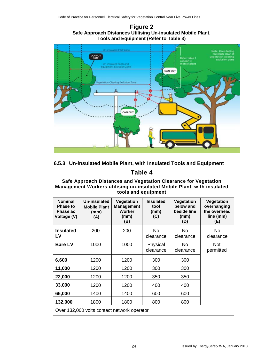### **Figure 2 Safe Approach Distances Utilising Un-insulated Mobile Plant, Tools and Equipment (Refer to Table 3)**



### **6.5.3 Un-insulated Mobile Plant, with Insulated Tools and Equipment**

### **Table 4**

### **Safe Approach Distances and Vegetation Clearance for Vegetation Management Workers utilising un-insulated Mobile Plant, with insulated tools and equipment**

| <b>Nominal</b><br><b>Phase to</b><br><b>Phase ac</b><br>Voltage (V) | Un-insulated<br><b>Mobile Plant</b><br>(mm)<br>(A) | <b>Vegetation</b><br>Management<br>Worker<br>(mm)<br>(B) | <b>Insulated</b><br>tool<br>(mm)<br>(C) | <b>Vegetation</b><br>below and<br>beside line<br>(mm)<br>(D) | Vegetation<br>overhanging<br>the overhead<br>line (mm)<br>(E) |
|---------------------------------------------------------------------|----------------------------------------------------|----------------------------------------------------------|-----------------------------------------|--------------------------------------------------------------|---------------------------------------------------------------|
| <b>Insulated</b><br>LV                                              | 200                                                | 200                                                      | <b>No</b><br>clearance                  | No.<br>clearance                                             | No<br>clearance                                               |
| <b>Bare LV</b>                                                      | 1000                                               | 1000                                                     | Physical<br>clearance                   | <b>No</b><br>clearance                                       | <b>Not</b><br>permitted                                       |
| 6,600                                                               | 1200                                               | 1200                                                     | 300                                     | 300                                                          |                                                               |
| 11,000                                                              | 1200                                               | 1200                                                     | 300                                     | 300                                                          |                                                               |
| 22,000                                                              | 1200                                               | 1200                                                     | 350                                     | 350                                                          |                                                               |
| 33,000                                                              | 1200                                               | 1200                                                     | 400                                     | 400                                                          |                                                               |
| 66,000                                                              | 1400                                               | 1400                                                     | 600                                     | 600                                                          |                                                               |
| 132,000                                                             | 1800                                               | 1800                                                     | 800                                     | 800                                                          |                                                               |
| Over 132,000 volts contact network operator                         |                                                    |                                                          |                                         |                                                              |                                                               |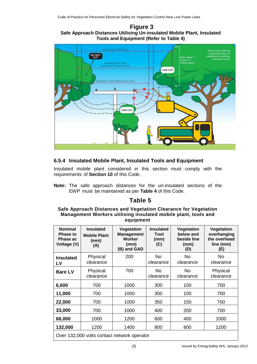### **Figure 3 Safe Approach Distances Utilising Un-insulated Mobile Plant, Insulated Tools and Equipment (Refer to Table 4)**



### **6.5.4 Insulated Mobile Plant, Insulated Tools and Equipment**

Insulated mobile plant considered in this section must comply with the requirements of **Section 10** of this Code.

**Note:** The safe approach distances for the un-insulated sections of the EWP must be maintained as per **Table 4** of this Code.

### **Table 5**

#### **Safe Approach Distances and Vegetation Clearance for Vegetation Management Workers utilising insulated mobile plant, tools and equipment**

| <b>Nominal</b><br><b>Phase to</b><br>Phase ac<br>Voltage (V) | <b>Insulated</b><br><b>Mobile Plant</b><br>(mm)<br>(A) | <b>Vegetation</b><br><b>Management</b><br>Worker<br>(mm)<br>(B) and GAD | <b>Insulated</b><br>Tool<br>(mm)<br>(C) | <b>Vegetation</b><br>below and<br>beside line<br>(mm)<br>(D) | Vegetation<br>overhanging<br>the overhead<br>line (mm)<br>(E) |
|--------------------------------------------------------------|--------------------------------------------------------|-------------------------------------------------------------------------|-----------------------------------------|--------------------------------------------------------------|---------------------------------------------------------------|
| <b>Insulated</b><br>LV                                       | Physical<br>clearance                                  | 200                                                                     | <b>No</b><br>clearance                  | <b>No</b><br>clearance                                       | <b>No</b><br>clearance                                        |
| <b>Bare LV</b>                                               | Physical<br>clearance                                  | 700                                                                     | No.<br>clearance                        | No.<br>clearance                                             | Physical<br>clearance                                         |
| 6,600                                                        | 700                                                    | 1000                                                                    | 300                                     | 100                                                          | 700                                                           |
| 11,000                                                       | 700                                                    | 1000                                                                    | 300                                     | 100                                                          | 700                                                           |
| 22,000                                                       | 700                                                    | 1000                                                                    | 350                                     | 150                                                          | 700                                                           |
| 33,000                                                       | 700                                                    | 1000                                                                    | 400                                     | 200                                                          | 700                                                           |
| 66,000                                                       | 1000                                                   | 1200                                                                    | 600                                     | 400                                                          | 1000                                                          |
| 132,000                                                      | 1200                                                   | 1400                                                                    | 800                                     | 800                                                          | 1200                                                          |
| Over 132,000 volts contact network operator                  |                                                        |                                                                         |                                         |                                                              |                                                               |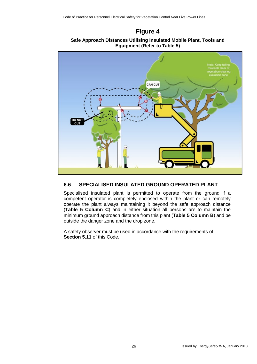### **Figure 4**





### **6.6 SPECIALISED INSULATED GROUND OPERATED PLANT**

Specialised insulated plant is permitted to operate from the ground if a competent operator is completely enclosed within the plant or can remotely operate the plant always maintaining it beyond the safe approach distance (**Table 5 Column C**) and in either situation all persons are to maintain the minimum ground approach distance from this plant (**Table 5 Column B**) and be outside the danger zone and the drop zone.

A safety observer must be used in accordance with the requirements of **Section 5.11** of this Code.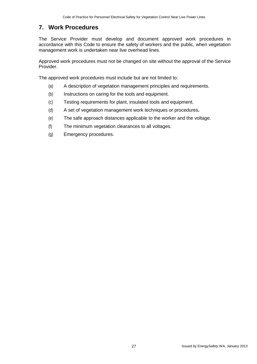### **7. Work Procedures**

The Service Provider must develop and document approved work procedures in accordance with this Code to ensure the safety of workers and the public, when vegetation management work is undertaken near live overhead lines.

Approved work procedures must not be changed on site without the approval of the Service Provider.

The approved work procedures must include but are not limited to:

- (a) A description of vegetation management principles and requirements.
- (b) Instructions on caring for the tools and equipment.
- (c) Testing requirements for plant, insulated tools and equipment.
- (d) A set of vegetation management work techniques or procedures**.**
- (e) The safe approach distances applicable to the worker and the voltage.
- (f) The minimum vegetation clearances to all voltages.
- (g) Emergency procedures.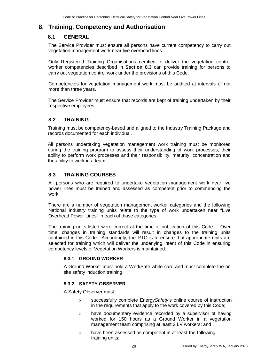### **8. Training, Competency and Authorisation**

### **8.1 GENERAL**

The Service Provider must ensure all persons have current competency to carry out vegetation management work near live overhead lines.

Only Registered Training Organisations certified to deliver the vegetation control worker competencies described in **Section 8.3** can provide training for persons to carry out vegetation control work under the provisions of this Code.

Competencies for vegetation management work must be audited at intervals of not more than three years.

The Service Provider must ensure that records are kept of training undertaken by their respective employees.

### **8.2 TRAINING**

Training must be competency-based and aligned to the Industry Training Package and records documented for each individual.

All persons undertaking vegetation management work training must be monitored during the training program to assess their understanding of work processes, their ability to perform work processes and their responsibility, maturity, concentration and the ability to work in a team.

### **8.3 TRAINING COURSES**

All persons who are required to undertake vegetation management work near live power lines must be trained and assessed as competent prior to commencing the work.

There are a number of vegetation management worker categories and the following National Industry training units relate to the type of work undertaken near "Live Overhead Power Lines" in each of those categories.

The training units listed were correct at the time of publication of this Code. Over time, changes in training standards will result in changes to the training units contained in this Code. Accordingly, the RTO is to ensure that appropriate units are selected for training which will deliver the underlying intent of this Code in ensuring competency levels of Vegetation Workers is maintained.

#### **8.3.1 GROUND WORKER**

A Ground Worker must hold a WorkSafe white card and must complete the on site safety induction training.

### **8.3.2 SAFETY OBSERVER**

A Safety Observer must:

- successfully complete Energy*Safety*'s online course of instruction in the requirements that apply to the work covered by this Code;
- $\triangleright$  have documentary evidence recorded by a supervisor of having worked for 150 hours as a Ground Worker in a vegetation management team comprising at least 2 LV workers; and
- $\triangleright$  have been assessed as competent in at least the following training units: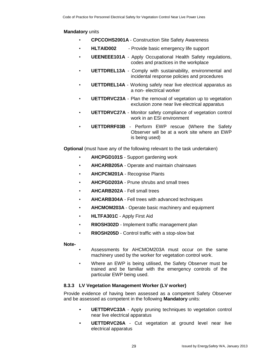### **Mandatory** units

- **CPCCOHS2001A**  Construction Site Safety Awareness
- **HLTAID002**  Provide basic emergency life support
- **UEENEEE101A**  Apply Occupational Health Safety regulations, codes and practices in the workplace
- **UETTDREL13A**  Comply with sustainability, environmental and incidental response policies and procedures
- **UETTDREL14A**  Working safely near live electrical apparatus as a non- electrical worker
- **UETTDRVC23A**  Plan the removal of vegetation up to vegetation exclusion zone near live electrical apparatus
- **UETTDRVC27A**  Monitor safety compliance of vegetation control work in an ESI environment
- **UETTDRRF03B**  Perform EWP rescue (Where the Safety Observer will be at a work site where an EWP is being used)

**Optional** (must have any of the following relevant to the task undertaken)

- **AHCPGD101S**  Support gardening work
- **AHCARB205A**  Operate and maintain chainsaws
- **AHCPCM201A**  Recognise Plants
- **AHCPGD203A**  Prune shrubs and small trees
- **AHCARB202A**  Fell small trees
- **AHCARB304A**  Fell trees with advanced techniques
- **AHCMOM203A**  Operate basic machinery and equipment
- **HLTFA301C** Apply First Aid
- **RIIOSH302D** Implement traffic management plan
- **RIIOSH205D** Control traffic with a stop-slow bat

**Note-**

- Assessments for AHCMOM203A must occur on the same machinery used by the worker for vegetation control work.
- Where an EWP is being utilised, the Safety Observer must be trained and be familiar with the emergency controls of the particular EWP being used.

#### **8.3.3 LV Vegetation Management Worker (LV worker)**

Provide evidence of having been assessed as a competent Safety Observer and be assessed as competent in the following **Mandatory** units:

- **UETTDRVC33A** Apply pruning techniques to vegetation control near live electrical apparatus
- **UETTDRVC26A** Cut vegetation at ground level near live electrical apparatus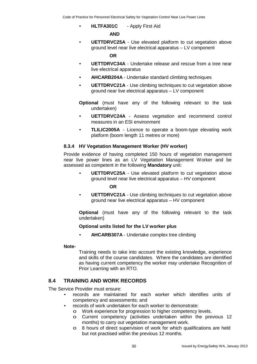• **HLTFA301C** - Apply First Aid

#### **AND**

• **UETTDRVC25A** - Use elevated platform to cut vegetation above ground level near live electrical apparatus – LV component

#### **OR**

- **UETTDRVC34A** Undertake release and rescue from a tree near live electrical apparatus
- **AHCARB204A** Undertake standard climbing techniques
- **UETTDRVC21A** Use climbing techniques to cut vegetation above ground near live electrical apparatus – LV component
- **Optional** (must have any of the following relevant to the task undertaken)
- **UETTDRVC24A** Assess vegetation and recommend control measures in an ESI environment
- **TLILIC2005A** Licence to operate a boom-type elevating work platform (boom length 11 metres or more)

#### **8.3.4 HV Vegetation Management Worker (HV worker)**

Provide evidence of having completed 150 hours of vegetation management near live power lines as an LV Vegetation Management Worker and be assessed as competent in the following **Mandatory** unit:

• **UETTDRVC25A** - Use elevated platform to cut vegetation above ground level near live electrical apparatus – HV component

#### **OR**

• **UETTDRVC21A** - Use climbing techniques to cut vegetation above ground near live electrical apparatus – HV component

**Optional** (must have any of the following relevant to the task undertaken)

#### **Optional units listed for the LV worker plus**

• **AHCARB307A** - Undertake complex tree climbing

#### **Note-**

Training needs to take into account the existing knowledge, experience and skills of the course candidates. Where the candidates are identified as having current competency the worker may undertake Recognition of Prior Learning with an RTO.

### **8.4 TRAINING AND WORK RECORDS**

The Service Provider must ensure:

- records are maintained for each worker which identifies units of competency and assessments; and
- records of work undertaken for each worker to demonstrate:
	- o Work experience for progression to higher competency levels.
	- o Current competency (activities undertaken within the previous 12 months) to carry out vegetation management work.
	- o 8 hours of direct supervision of work for which qualifications are held but not practised within the previous 12 months.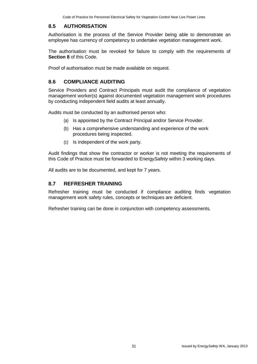### **8.5 AUTHORISATION**

Authorisation is the process of the Service Provider being able to demonstrate an employee has currency of competency to undertake vegetation management work.

The authorisation must be revoked for failure to comply with the requirements of **Section 8** of this Code.

Proof of authorisation must be made available on request.

### **8.6 COMPLIANCE AUDITING**

Service Providers and Contract Principals must audit the compliance of vegetation management worker(s) against documented vegetation management work procedures by conducting independent field audits at least annually.

Audits must be conducted by an authorised person who:

- (a) Is appointed by the Contract Principal and/or Service Provider.
- (b) Has a comprehensive understanding and experience of the work procedures being inspected.
- (c) Is independent of the work party.

Audit findings that show the contractor or worker is not meeting the requirements of this Code of Practice must be forwarded to Energy*Safety* within 3 working days.

All audits are to be documented, and kept for 7 years.

### **8.7 REFRESHER TRAINING**

Refresher training must be conducted if compliance auditing finds vegetation management work safety rules, concepts or techniques are deficient.

Refresher training can be done in conjunction with competency assessments.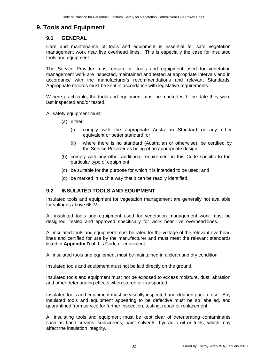### **9. Tools and Equipment**

### **9.1 GENERAL**

Care and maintenance of tools and equipment is essential for safe vegetation management work near live overhead lines**.** This is especially the case for insulated tools and equipment.

The Service Provider must ensure all tools and equipment used for vegetation management work are inspected, maintained and tested at appropriate intervals and in accordance with the manufacturer's recommendations and relevant Standards. Appropriate records must be kept in accordance with legislative requirements.

W here practicable, the tools and equipment must be marked with the date they were last inspected and/or tested.

All safety equipment must:

- (a) either:
	- (i) comply with the appropriate Australian Standard or any other equivalent or better standard; or
	- (ii) where there is no standard (Australian or otherwise), be certified by the Service Provider as being of an appropriate design.
- (b) comply with any other additional requirement in this Code specific to the particular type of equipment;
- (c) be suitable for the purpose for which it is intended to be used; and
- (d) be marked in such a way that it can be readily identified.

### **9.2 INSULATED TOOLS AND EQUIPMENT**

Insulated tools and equipment for vegetation management are generally not available for voltages above 66kV.

All insulated tools and equipment used for vegetation management work must be designed, tested and approved specifically for work near live overhead lines.

All insulated tools and equipment must be rated for the voltage of the relevant overhead lines and certified for use by the manufacturer and must meet the relevant standards listed in **Appendix D** of this Code or equivalent.

All insulated tools and equipment must be maintained in a clean and dry condition.

Insulated tools and equipment must not be laid directly on the ground.

Insulated tools and equipment must not be exposed to excess moisture, dust, abrasion and other deteriorating effects when stored or transported.

Insulated tools and equipment must be visually inspected and cleaned prior to use. Any insulated tools and equipment appearing to be defective must be so labelled, and quarantined from service for further inspection, testing, repair or replacement.

All insulating tools and equipment must be kept clear of deteriorating contaminants such as hand creams, sunscreens, paint solvents, hydraulic oil or fuels, which may affect the insulation integrity.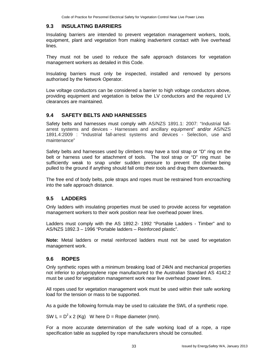### **9.3 INSULATING BARRIERS**

Insulating barriers are intended to prevent vegetation management workers, tools, equipment, plant and vegetation from making inadvertent contact with live overhead lines.

They must not be used to reduce the safe approach distances for vegetation management workers as detailed in this Code.

Insulating barriers must only be inspected, installed and removed by persons authorised by the Network Operator.

Low voltage conductors can be considered a barrier to high voltage conductors above, providing equipment and vegetation is below the LV conductors and the required LV clearances are maintained.

### **9.4 SAFETY BELTS AND HARNESSES**

Safety belts and harnesses must comply with AS/NZS 1891.1: 2007: "Industrial fallarrest systems and devices - Harnesses and ancillary equipment" and/or AS/NZS 1891.4:2009 : "Industrial fall-arrest systems and devices - Selection, use and maintenance"

Safety belts and harnesses used by climbers may have a tool strap or "D" ring on the belt or harness used for attachment of tools. The tool strap or "D" ring must be sufficiently weak to snap under sudden pressure to prevent the climber being pulled to the ground if anything should fall onto their tools and drag them downwards.

The free end of body belts, pole straps and ropes must be restrained from encroaching into the safe approach distance.

### **9.5 LADDERS**

Only ladders with insulating properties must be used to provide access for vegetation management workers to their work position near live overhead power lines.

Ladders must comply with the AS 1892.2- 1992 "Portable Ladders - Timber" and to AS/NZS 1892.3 – 1996 "Portable ladders – Reinforced plastic".

**Note:** Metal ladders or metal reinforced ladders must not be used for vegetation management work.

### **9.6 ROPES**

Only synthetic ropes with a minimum breaking load of 24kN and mechanical properties not inferior to polypropylene rope manufactured to the Australian Standard AS 4142.2 must be used for vegetation management work near live overhead power lines.

All ropes used for vegetation management work must be used within their safe working load for the tension or mass to be supported.

As a guide the following formula may be used to calculate the SWL of a synthetic rope.

SW  $L = D^2 \times 2$  (Kg) W here D = Rope diameter (mm).

For a more accurate determination of the safe working load of a rope, a rope specification table as supplied by rope manufacturers should be consulted.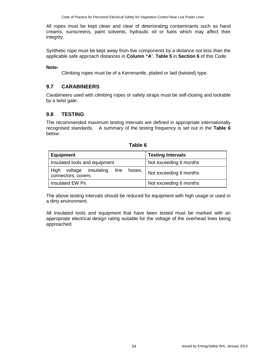All ropes must be kept clean and clear of deteriorating contaminants such as hand creams, sunscreens, paint solvents, hydraulic oil or fuels which may affect their integrity.

Synthetic rope must be kept away from live components by a distance not less than the applicable safe approach distances in **Column "A**", **Table 5** in **Section 6** of this Code.

### **Note-**

Climbing ropes must be of a Kernmantle, plaited or laid (twisted) type.

### **9.7 CARABINEERS**

Carabineers used with climbing ropes or safety straps must be self-closing and lockable by a twist gate.

### **9.8 TESTING**

The recommended maximum testing intervals are defined in appropriate internationally recognised standards. A summary of the testing frequency is set out in the **Table 6**  below.

| <b>Equipment</b>                                                      | <b>Testing Intervals</b> |  |
|-----------------------------------------------------------------------|--------------------------|--|
| Insulated tools and equipment                                         | Not exceeding 6 months   |  |
| High<br>insulating<br>voltage<br>line<br>hoses,<br>connectors, covers | Not exceeding 6 months   |  |
| Insulated EW Ps                                                       | Not exceeding 6 months   |  |

| able |  |
|------|--|
|------|--|

The above testing intervals should be reduced for equipment with high usage or used in a dirty environment.

All insulated tools and equipment that have been tested must be marked with an appropriate electrical design rating suitable for the voltage of the overhead lines being approached.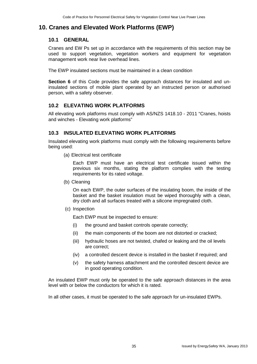### **10. Cranes and Elevated Work Platforms (EWP)**

### **10.1 GENERAL**

Cranes and EW Ps set up in accordance with the requirements of this section may be used to support vegetation, vegetation workers and equipment for vegetation management work near live overhead lines.

The EWP insulated sections must be maintained in a clean condition

**Section 6** of this Code provides the safe approach distances for insulated and uninsulated sections of mobile plant operated by an instructed person or authorised person, with a safety observer.

### **10.2 ELEVATING WORK PLATFORMS**

All elevating work platforms must comply with AS/NZS 1418.10 - 2011 "Cranes, hoists and winches - Elevating work platforms"

### **10.3 INSULATED ELEVATING WORK PLATFORMS**

Insulated elevating work platforms must comply with the following requirements before being used:

(a) Electrical test certificate

Each EWP must have an electrical test certificate issued within the previous six months, stating the platform complies with the testing requirements for its rated voltage.

(b) Cleaning

On each EWP, the outer surfaces of the insulating boom, the inside of the basket and the basket insulation must be wiped thoroughly with a clean, dry cloth and all surfaces treated with a silicone impregnated cloth.

(c) Inspection

Each EWP must be inspected to ensure:

- (i) the ground and basket controls operate correctly;
- (ii) the main components of the boom are not distorted or cracked;
- (iii) hydraulic hoses are not twisted, chafed or leaking and the oil levels are correct;
- (iv) a controlled descent device is installed in the basket if required; and
- (v) the safety harness attachment and the controlled descent device are in good operating condition.

An insulated EWP must only be operated to the safe approach distances in the area level with or below the conductors for which it is rated.

In all other cases, it must be operated to the safe approach for un-insulated EWPs.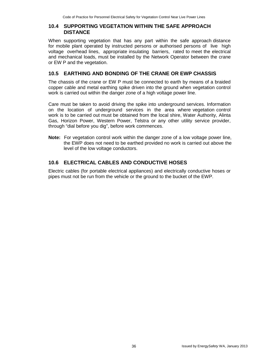### **10.4 SUPPORTING VEGETATION WITHIN THE SAFE APPROACH DISTANCE**

When supporting vegetation that has any part within the safe approach distance for mobile plant operated by instructed persons or authorised persons of live high voltage overhead lines, appropriate insulating barriers, rated to meet the electrical and mechanical loads, must be installed by the Network Operator between the crane or EW P and the vegetation.

### **10.5 EARTHING AND BONDING OF THE CRANE OR EWP CHASSIS**

The chassis of the crane or EW P must be connected to earth by means of a braided copper cable and metal earthing spike driven into the ground when vegetation control work is carried out within the danger zone of a high voltage power line.

Care must be taken to avoid driving the spike into underground services. Information on the location of underground services in the area where vegetation control work is to be carried out must be obtained from the local shire, Water Authority, Alinta Gas, Horizon Power, Western Power, Telstra or any other utility service provider, through "dial before you dig", before work commences.

**Note:** For vegetation control work within the danger zone of a low voltage power line, the EWP does not need to be earthed provided no work is carried out above the level of the low voltage conductors.

### **10.6 ELECTRICAL CABLES AND CONDUCTIVE HOSES**

Electric cables (for portable electrical appliances) and electrically conductive hoses or pipes must not be run from the vehicle or the ground to the bucket of the EWP.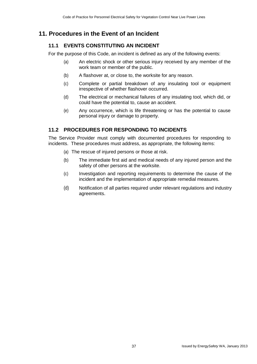## **11. Procedures in the Event of an Incident**

### **11.1 EVENTS CONSTITUTING AN INCIDENT**

For the purpose of this Code, an incident is defined as any of the following events:

- (a) An electric shock or other serious injury received by any member of the work team or member of the public.
- (b) A flashover at, or close to, the worksite for any reason.
- (c) Complete or partial breakdown of any insulating tool or equipment irrespective of whether flashover occurred.
- (d) The electrical or mechanical failures of any insulating tool, which did, or could have the potential to, cause an accident.
- (e) Any occurrence, which is life threatening or has the potential to cause personal injury or damage to property.

### **11.2 PROCEDURES FOR RESPONDING TO INCIDENTS**

The Service Provider must comply with documented procedures for responding to incidents. These procedures must address, as appropriate, the following items:

- (a) The rescue of injured persons or those at risk.
- (b) The immediate first aid and medical needs of any injured person and the safety of other persons at the worksite.
- (c) Investigation and reporting requirements to determine the cause of the incident and the implementation of appropriate remedial measures.
- (d) Notification of all parties required under relevant regulations and industry agreements.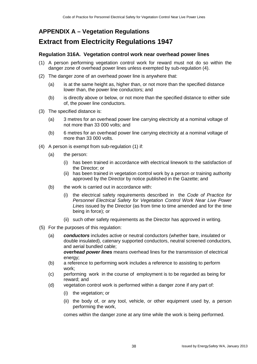### **APPENDIX A – Vegetation Regulations**

# **Extract from Electricity Regulations 1947**

### **Regulation 316A. Vegetation control work near overhead power lines**

- (1) A person performing vegetation control work for reward must not do so within the danger zone of overhead power lines unless exempted by sub-regulation (4).
- (2) The danger zone of an overhead power line is anywhere that:
	- (a) is at the same height as, higher than, or not more than the specified distance lower than, the power line conductors; and
	- (b) is directly above or below, or not more than the specified distance to either side of, the power line conductors.
- (3) The specified distance is:
	- (a) 3 metres for an overhead power line carrying electricity at a nominal voltage of not more than 33 000 volts; and
	- (b) 6 metres for an overhead power line carrying electricity at a nominal voltage of more than 33 000 volts.
- (4) A person is exempt from sub-regulation (1) if:
	- (a) the person:
		- (i) has been trained in accordance with electrical linework to the satisfaction of the Director; or
		- (ii) has been trained in vegetation control work by a person or training authority approved by the Director by notice published in the Gazette; and
	- (b) the work is carried out in accordance with:
		- (i) the electrical safety requirements described in the *Code of Practice for Personnel Electrical Safety for Vegetation Control Work Near Live Power Lines* issued by the Director (as from time to time amended and for the time being in force); or
		- (ii) such other safety requirements as the Director has approved in writing.
- (5) For the purposes of this regulation:
	- (a) *conductors* includes active or neutral conductors (whether bare, insulated or double insulated), catenary supported conductors, neutral screened conductors, and aerial bundled cable;

*overhead power lines* means overhead lines for the transmission of electrical energy;

- (b) a reference to performing work includes a reference to assisting to perform work;
- (c) performing work in the course of employment is to be regarded as being for reward; and
- (d) vegetation control work is performed within a danger zone if any part of:
	- (i) the vegetation; or
	- (ii) the body of, or any tool, vehicle, or other equipment used by, a person performing the work,

comes within the danger zone at any time while the work is being performed.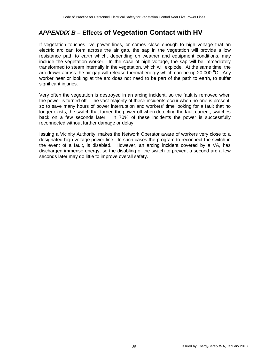# *APPENDIX B –* **Effects of Vegetation Contact with HV**

If vegetation touches live power lines, or comes close enough to high voltage that an electric arc can form across the air gap, the sap in the vegetation will provide a low resistance path to earth which, depending on weather and equipment conditions, may include the vegetation worker. In the case of high voltage, the sap will be immediately transformed to steam internally in the vegetation, which will explode. At the same time, the arc drawn across the air gap will release thermal energy which can be up 20,000  $^{\circ}$ C. Any worker near or looking at the arc does not need to be part of the path to earth, to suffer significant injuries.

Very often the vegetation is destroyed in an arcing incident, so the fault is removed when the power is turned off. The vast majority of these incidents occur when no-one is present, so to save many hours of power interruption and workers' time looking for a fault that no longer exists, the switch that turned the power off when detecting the fault current, switches back on a few seconds later. In 70% of these incidents the power is successfully reconnected without further damage or delay.

Issuing a Vicinity Authority, makes the Network Operator aware of workers very close to a designated high voltage power line. In such cases the program to reconnect the switch in the event of a fault, is disabled. However, an arcing incident covered by a VA, has discharged immense energy, so the disabling of the switch to prevent a second arc a few seconds later may do little to improve overall safety.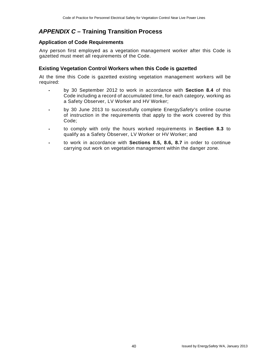### *APPENDIX C –* **Training Transition Process**

### **Application of Code Requirements**

Any person first employed as a vegetation management worker after this Code is gazetted must meet all requirements of the Code.

### **Existing Vegetation Control Workers when this Code is gazetted**

At the time this Code is gazetted existing vegetation management workers will be required:

- by 30 September 2012 to work in accordance with **Section 8.4** of this Code including a record of accumulated time, for each category, working as a Safety Observer, LV Worker and HV Worker;
- by 30 June 2013 to successfully complete Energy*Safety*'s online course of instruction in the requirements that apply to the work covered by this Code;
- to comply with only the hours worked requirements in **Section 8.3** to qualify as a Safety Observer, LV Worker or HV Worker; and
- to work in accordance with **Sections 8.5, 8.6, 8.7** in order to continue carrying out work on vegetation management within the danger zone.